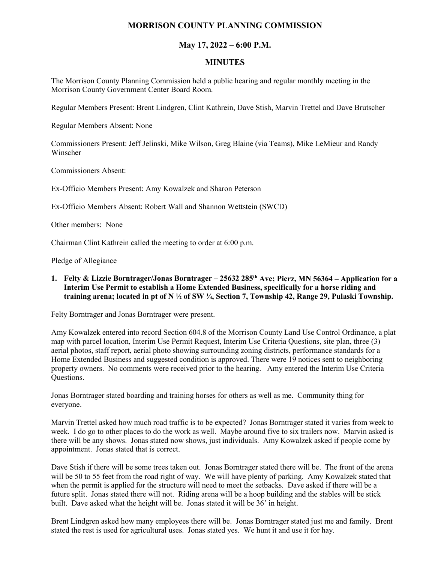## **MORRISON COUNTY PLANNING COMMISSION**

## **May 17, 2022 – 6:00 P.M.**

## **MINUTES**

The Morrison County Planning Commission held a public hearing and regular monthly meeting in the Morrison County Government Center Board Room.

Regular Members Present: Brent Lindgren, Clint Kathrein, Dave Stish, Marvin Trettel and Dave Brutscher

Regular Members Absent: None

Commissioners Present: Jeff Jelinski, Mike Wilson, Greg Blaine (via Teams), Mike LeMieur and Randy Winscher

Commissioners Absent:

Ex-Officio Members Present: Amy Kowalzek and Sharon Peterson

Ex-Officio Members Absent: Robert Wall and Shannon Wettstein (SWCD)

Other members: None

Chairman Clint Kathrein called the meeting to order at 6:00 p.m.

Pledge of Allegiance

**1. Felty & Lizzie Borntrager/Jonas Borntrager – 25632 285th Ave; Pierz, MN 56364 – Application for a Interim Use Permit to establish a Home Extended Business, specifically for a horse riding and training arena; located in pt of N ½ of SW ¼, Section 7, Township 42, Range 29, Pulaski Township.**

Felty Borntrager and Jonas Borntrager were present.

Amy Kowalzek entered into record Section 604.8 of the Morrison County Land Use Control Ordinance, a plat map with parcel location, Interim Use Permit Request, Interim Use Criteria Questions, site plan, three (3) aerial photos, staff report, aerial photo showing surrounding zoning districts, performance standards for a Home Extended Business and suggested condition is approved. There were 19 notices sent to neighboring property owners. No comments were received prior to the hearing. Amy entered the Interim Use Criteria Questions.

Jonas Borntrager stated boarding and training horses for others as well as me. Community thing for everyone.

Marvin Trettel asked how much road traffic is to be expected? Jonas Borntrager stated it varies from week to week. I do go to other places to do the work as well. Maybe around five to six trailers now. Marvin asked is there will be any shows. Jonas stated now shows, just individuals. Amy Kowalzek asked if people come by appointment. Jonas stated that is correct.

Dave Stish if there will be some trees taken out. Jonas Borntrager stated there will be. The front of the arena will be 50 to 55 feet from the road right of way. We will have plenty of parking. Amy Kowalzek stated that when the permit is applied for the structure will need to meet the setbacks. Dave asked if there will be a future split. Jonas stated there will not. Riding arena will be a hoop building and the stables will be stick built. Dave asked what the height will be. Jonas stated it will be 36' in height.

Brent Lindgren asked how many employees there will be. Jonas Borntrager stated just me and family. Brent stated the rest is used for agricultural uses. Jonas stated yes. We hunt it and use it for hay.